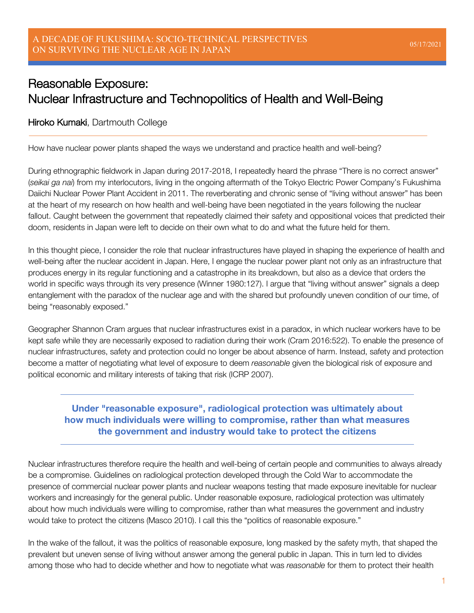# Reasonable Exposure: Nuclear Infrastructure and Technopolitics of Health and Well-Being

#### Hiroko Kumaki, Dartmouth College

How have nuclear power plants shaped the ways we understand and practice health and well-being?

During ethnographic fieldwork in Japan during 2017-2018, I repeatedly heard the phrase "There is no correct answer" (*seikai ga nai*) from my interlocutors, living in the ongoing aftermath of the Tokyo Electric Power Company's Fukushima Daiichi Nuclear Power Plant Accident in 2011. The reverberating and chronic sense of "living without answer" has been at the heart of my research on how health and well-being have been negotiated in the years following the nuclear fallout. Caught between the government that repeatedly claimed their safety and oppositional voices that predicted their doom, residents in Japan were left to decide on their own what to do and what the future held for them.

In this thought piece, I consider the role that nuclear infrastructures have played in shaping the experience of health and well-being after the nuclear accident in Japan. Here, I engage the nuclear power plant not only as an infrastructure that produces energy in its regular functioning and a catastrophe in its breakdown, but also as a device that orders the world in specific ways through its very presence (Winner 1980:127). I argue that "living without answer" signals a deep entanglement with the paradox of the nuclear age and with the shared but profoundly uneven condition of our time, of being "reasonably exposed."

Geographer Shannon Cram argues that nuclear infrastructures exist in a paradox, in which nuclear workers have to be kept safe while they are necessarily exposed to radiation during their work (Cram 2016:522). To enable the presence of nuclear infrastructures, safety and protection could no longer be about absence of harm. Instead, safety and protection become a matter of negotiating what level of exposure to deem *reasonable* given the biological risk of exposure and political economic and military interests of taking that risk (ICRP 2007).

## **Under "reasonable exposure", radiological protection was ultimately about how much individuals were willing to compromise, rather than what measures the government and industry would take to protect the citizens**

Nuclear infrastructures therefore require the health and well-being of certain people and communities to always already be a compromise. Guidelines on radiological protection developed through the Cold War to accommodate the presence of commercial nuclear power plants and nuclear weapons testing that made exposure inevitable for nuclear workers and increasingly for the general public. Under reasonable exposure, radiological protection was ultimately about how much individuals were willing to compromise, rather than what measures the government and industry would take to protect the citizens (Masco 2010). I call this the "politics of reasonable exposure."

In the wake of the fallout, it was the politics of reasonable exposure, long masked by the safety myth, that shaped the prevalent but uneven sense of living without answer among the general public in Japan. This in turn led to divides among those who had to decide whether and how to negotiate what was *reasonable* for them to protect their health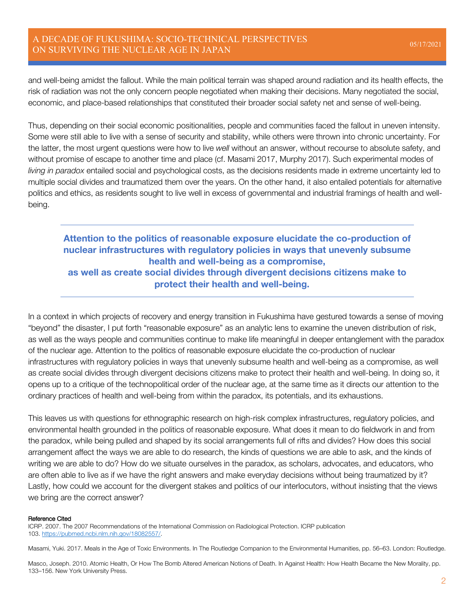### A DECADE OF FUKUSHIMA: SOCIO-TECHNICAL PERSPECTIVES ON SURVIVING THE NUCLEAR AGE IN JAPAN 05/17/2021

and well-being amidst the fallout. While the main political terrain was shaped around radiation and its health effects, the risk of radiation was not the only concern people negotiated when making their decisions. Many negotiated the social, economic, and place-based relationships that constituted their broader social safety net and sense of well-being.

Thus, depending on their social economic positionalities, people and communities faced the fallout in uneven intensity. Some were still able to live with a sense of security and stability, while others were thrown into chronic uncertainty. For the latter, the most urgent questions were how to live *well* without an answer, without recourse to absolute safety, and without promise of escape to another time and place (cf. Masami 2017, Murphy 2017). Such experimental modes of *living in paradox* entailed social and psychological costs, as the decisions residents made in extreme uncertainty led to multiple social divides and traumatized them over the years. On the other hand, it also entailed potentials for alternative politics and ethics, as residents sought to live well in excess of governmental and industrial framings of health and wellbeing.

## **Attention to the politics of reasonable exposure elucidate the co-production of nuclear infrastructures with regulatory policies in ways that unevenly subsume health and well-being as a compromise, as well as create social divides through divergent decisions citizens make to protect their health and well-being.**

In a context in which projects of recovery and energy transition in Fukushima have gestured towards a sense of moving "beyond" the disaster, I put forth "reasonable exposure" as an analytic lens to examine the uneven distribution of risk, as well as the ways people and communities continue to make life meaningful in deeper entanglement with the paradox of the nuclear age. Attention to the politics of reasonable exposure elucidate the co-production of nuclear infrastructures with regulatory policies in ways that unevenly subsume health and well-being as a compromise, as well as create social divides through divergent decisions citizens make to protect their health and well-being. In doing so, it opens up to a critique of the technopolitical order of the nuclear age, at the same time as it directs our attention to the ordinary practices of health and well-being from within the paradox, its potentials, and its exhaustions.

This leaves us with questions for ethnographic research on high-risk complex infrastructures, regulatory policies, and environmental health grounded in the politics of reasonable exposure. What does it mean to do fieldwork in and from the paradox, while being pulled and shaped by its social arrangements full of rifts and divides? How does this social arrangement affect the ways we are able to do research, the kinds of questions we are able to ask, and the kinds of writing we are able to do? How do we situate ourselves in the paradox, as scholars, advocates, and educators, who are often able to live as if we have the right answers and make everyday decisions without being traumatized by it? Lastly, how could we account for the divergent stakes and politics of our interlocutors, without insisting that the views we bring are the correct answer?

#### Reference Cited

ICRP. 2007. The 2007 Recommendations of the International Commission on Radiological Protection. ICRP publication 103. https://pubmed.ncbi.nlm.nih.gov/18082557/.

Masami, Yuki. 2017. Meals in the Age of Toxic Environments. In The Routledge Companion to the Environmental Humanities, pp. 56–63. London: Routledge.

Masco, Joseph. 2010. Atomic Health, Or How The Bomb Altered American Notions of Death. In Against Health: How Health Became the New Morality, pp. 133–156. New York University Press.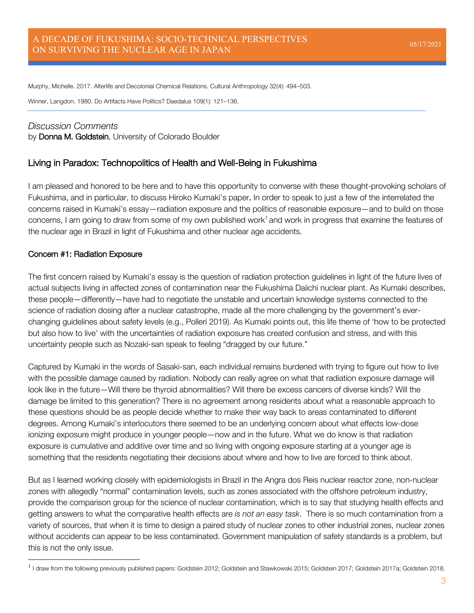Murphy, Michelle. 2017. Alterlife and Decolonial Chemical Relations. Cultural Anthropology 32(4): 494–503.

Winner, Langdon. 1980. Do Artifacts Have Politics? Daedalus 109(1): 121–136.

### *Discussion Comments*

by Donna M. Goldstein, University of Colorado Boulder

## Living in Paradox: Technopolitics of Health and Well-Being in Fukushima

I am pleased and honored to be here and to have this opportunity to converse with these thought-provoking scholars of Fukushima, and in particular, to discuss Hiroko Kumaki's paper. In order to speak to just a few of the interrelated the concerns raised in Kumaki's essay—radiation exposure and the politics of reasonable exposure—and to build on those concerns, I am going to draw from some of my own published work<sup>1</sup> and work in progress that examine the features of the nuclear age in Brazil in light of Fukushima and other nuclear age accidents.

#### Concern #1: Radiation Exposure

The first concern raised by Kumaki's essay is the question of radiation protection guidelines in light of the future lives of actual subjects living in affected zones of contamination near the Fukushima Daiichi nuclear plant. As Kumaki describes, these people—differently—have had to negotiate the unstable and uncertain knowledge systems connected to the science of radiation dosing after a nuclear catastrophe, made all the more challenging by the government's everchanging guidelines about safety levels (e.g., Polleri 2019). As Kumaki points out, this life theme of 'how to be protected but also how to live' with the uncertainties of radiation exposure has created confusion and stress, and with this uncertainty people such as Nozaki-san speak to feeling "dragged by our future."

Captured by Kumaki in the words of Sasaki-san, each individual remains burdened with trying to figure out how to live with the possible damage caused by radiation. Nobody can really agree on what that radiation exposure damage will look like in the future—Will there be thyroid abnormalities? Will there be excess cancers of diverse kinds? Will the damage be limited to this generation? There is no agreement among residents about what a reasonable approach to these questions should be as people decide whether to make their way back to areas contaminated to different degrees. Among Kumaki's interlocutors there seemed to be an underlying concern about what effects low-dose ionizing exposure might produce in younger people—now and in the future. What we do know is that radiation exposure is cumulative and additive over time and so living with ongoing exposure starting at a younger age is something that the residents negotiating their decisions about where and how to live are forced to think about.

But as I learned working closely with epidemiologists in Brazil in the Angra dos Reis nuclear reactor zone, non-nuclear zones with allegedly "normal" contamination levels, such as zones associated with the offshore petroleum industry, provide the comparison group for the science of nuclear contamination, which is to say that studying health effects and getting answers to what the comparative health effects are *is not an easy task*. There is so much contamination from a variety of sources, that when it is time to design a paired study of nuclear zones to other industrial zones, nuclear zones without accidents can appear to be less contaminated. Government manipulation of safety standards is a problem, but this is not the only issue.

<sup>&</sup>lt;sup>1</sup> I draw from the following previously published papers: Goldstein 2012; Goldstein and Stawkowski 2015; Goldstein 2017; Goldstein 2017a; Goldstein 2018.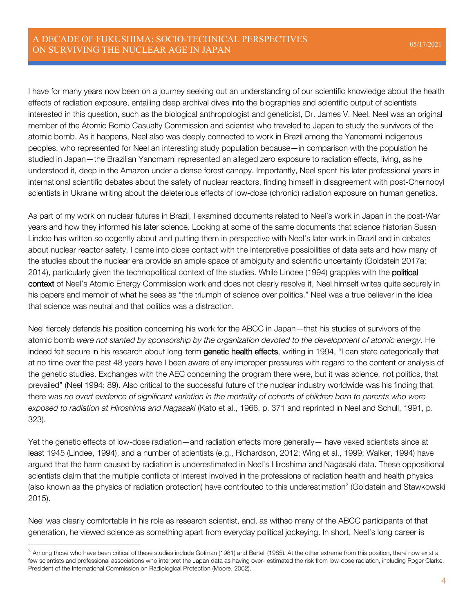I have for many years now been on a journey seeking out an understanding of our scientific knowledge about the health effects of radiation exposure, entailing deep archival dives into the biographies and scientific output of scientists interested in this question, such as the biological anthropologist and geneticist, Dr. James V. Neel. Neel was an original member of the Atomic Bomb Casualty Commission and scientist who traveled to Japan to study the survivors of the atomic bomb. As it happens, Neel also was deeply connected to work in Brazil among the Yanomami indigenous peoples, who represented for Neel an interesting study population because—in comparison with the population he studied in Japan—the Brazilian Yanomami represented an alleged zero exposure to radiation effects, living, as he understood it, deep in the Amazon under a dense forest canopy. Importantly, Neel spent his later professional years in international scientific debates about the safety of nuclear reactors, finding himself in disagreement with post-Chernobyl scientists in Ukraine writing about the deleterious effects of low-dose (chronic) radiation exposure on human genetics.

As part of my work on nuclear futures in Brazil, I examined documents related to Neel's work in Japan in the post-War years and how they informed his later science. Looking at some of the same documents that science historian Susan Lindee has written so cogently about and putting them in perspective with Neel's later work in Brazil and in debates about nuclear reactor safety, I came into close contact with the interpretive possibilities of data sets and how many of the studies about the nuclear era provide an ample space of ambiguity and scientific uncertainty (Goldstein 2017a; 2014), particularly given the technopolitical context of the studies. While Lindee (1994) grapples with the political context of Neel's Atomic Energy Commission work and does not clearly resolve it, Neel himself writes quite securely in his papers and memoir of what he sees as "the triumph of science over politics." Neel was a true believer in the idea that science was neutral and that politics was a distraction.

Neel fiercely defends his position concerning his work for the ABCC in Japan—that his studies of survivors of the atomic bomb *were not slanted by sponsorship by the organization devoted to the development of atomic energy*. He indeed felt secure in his research about long-term genetic health effects, writing in 1994, "I can state categorically that at no time over the past 48 years have I been aware of any improper pressures with regard to the content or analysis of the genetic studies. Exchanges with the AEC concerning the program there were, but it was science, not politics, that prevailed" (Neel 1994: 89). Also critical to the successful future of the nuclear industry worldwide was his finding that there was *no overt evidence of significant variation in the mortality of cohorts of children born to parents who were exposed to radiation at Hiroshima and Nagasaki* (Kato et al., 1966, p. 371 and reprinted in Neel and Schull, 1991, p. 323).

Yet the genetic effects of low-dose radiation—and radiation effects more generally— have vexed scientists since at least 1945 (Lindee, 1994), and a number of scientists (e.g., Richardson, 2012; Wing et al., 1999; Walker, 1994) have argued that the harm caused by radiation is underestimated in Neel's Hiroshima and Nagasaki data. These oppositional scientists claim that the multiple conflicts of interest involved in the professions of radiation health and health physics (also known as the physics of radiation protection) have contributed to this underestimation<sup>2</sup> (Goldstein and Stawkowski 2015).

Neel was clearly comfortable in his role as research scientist, and, as withso many of the ABCC participants of that generation, he viewed science as something apart from everyday political jockeying. In short, Neel's long career is

 $^2$  Among those who have been critical of these studies include Gofman (1981) and Bertell (1985). At the other extreme from this position, there now exist a few scientists and professional associations who interpret the Japan data as having over- estimated the risk from low-dose radiation, including Roger Clarke, President of the International Commission on Radiological Protection (Moore, 2002).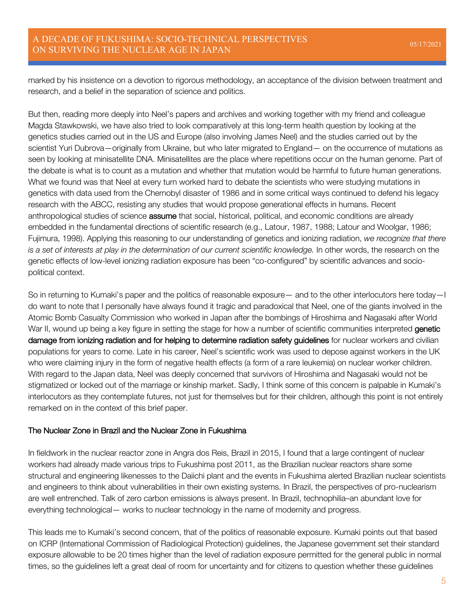marked by his insistence on a devotion to rigorous methodology, an acceptance of the division between treatment and research, and a belief in the separation of science and politics.

But then, reading more deeply into Neel's papers and archives and working together with my friend and colleague Magda Stawkowski, we have also tried to look comparatively at this long-term health question by looking at the genetics studies carried out in the US and Europe (also involving James Neel) and the studies carried out by the scientist Yuri Dubrova—originally from Ukraine, but who later migrated to England— on the occurrence of mutations as seen by looking at minisatellite DNA. Minisatellites are the place where repetitions occur on the human genome. Part of the debate is what is to count as a mutation and whether that mutation would be harmful to future human generations. What we found was that Neel at every turn worked hard to debate the scientists who were studying mutations in genetics with data used from the Chernobyl disaster of 1986 and in some critical ways continued to defend his legacy research with the ABCC, resisting any studies that would propose generational effects in humans. Recent anthropological studies of science **assume** that social, historical, political, and economic conditions are already embedded in the fundamental directions of scientific research (e.g., Latour, 1987, 1988; Latour and Woolgar, 1986; Fujimura, 1998). Applying this reasoning to our understanding of genetics and ionizing radiation, *we recognize that there is a set of interests at play in the determination of our current scientific knowledge.* In other words, the research on the genetic effects of low-level ionizing radiation exposure has been "co-configured" by scientific advances and sociopolitical context.

So in returning to Kumaki's paper and the politics of reasonable exposure— and to the other interlocutors here today—I do want to note that I personally have always found it tragic and paradoxical that Neel, one of the giants involved in the Atomic Bomb Casualty Commission who worked in Japan after the bombings of Hiroshima and Nagasaki after World War II, wound up being a key figure in setting the stage for how a number of scientific communities interpreted genetic damage from ionizing radiation and for helping to determine radiation safety guidelines for nuclear workers and civilian populations for years to come. Late in his career, Neel's scientific work was used to depose against workers in the UK who were claiming injury in the form of negative health effects (a form of a rare leukemia) on nuclear worker children. With regard to the Japan data, Neel was deeply concerned that survivors of Hiroshima and Nagasaki would not be stigmatized or locked out of the marriage or kinship market. Sadly, I think some of this concern is palpable in Kumaki's interlocutors as they contemplate futures, not just for themselves but for their children, although this point is not entirely remarked on in the context of this brief paper.

#### The Nuclear Zone in Brazil and the Nuclear Zone in Fukushima

In fieldwork in the nuclear reactor zone in Angra dos Reis, Brazil in 2015, I found that a large contingent of nuclear workers had already made various trips to Fukushima post 2011, as the Brazilian nuclear reactors share some structural and engineering likenesses to the Daiichi plant and the events in Fukushima alerted Brazilian nuclear scientists and engineers to think about vulnerabilities in their own existing systems. In Brazil, the perspectives of pro-nuclearism are well entrenched. Talk of zero carbon emissions is always present. In Brazil, technophilia–an abundant love for everything technological— works to nuclear technology in the name of modernity and progress.

This leads me to Kumaki's second concern, that of the politics of reasonable exposure. Kumaki points out that based on ICRP (International Commission of Radiological Protection) guidelines, the Japanese government set their standard exposure allowable to be 20 times higher than the level of radiation exposure permitted for the general public in normal times, so the guidelines left a great deal of room for uncertainty and for citizens to question whether these guidelines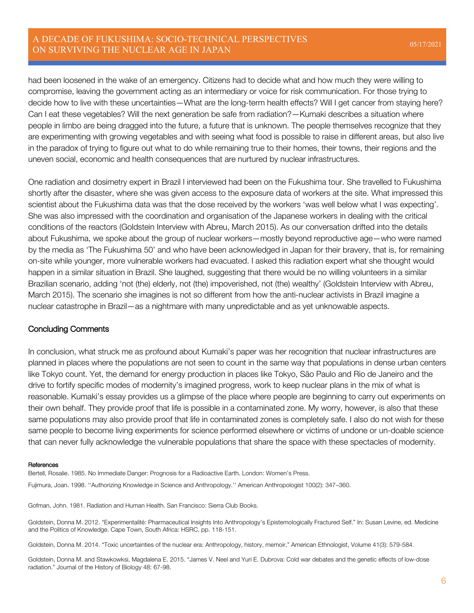### A DECADE OF FUKUSHIMA: SOCIO-TECHNICAL PERSPECTIVES ON SURVIVING THE NUCLEAR AGE IN JAPAN 05/17/2021

had been loosened in the wake of an emergency. Citizens had to decide what and how much they were willing to compromise, leaving the government acting as an intermediary or voice for risk communication. For those trying to decide how to live with these uncertainties—What are the long-term health effects? Will I get cancer from staying here? Can I eat these vegetables? Will the next generation be safe from radiation?—Kumaki describes a situation where people in limbo are being dragged into the future, a future that is unknown. The people themselves recognize that they are experimenting with growing vegetables and with seeing what food is possible to raise in different areas, but also live in the paradox of trying to figure out what to do while remaining true to their homes, their towns, their regions and the uneven social, economic and health consequences that are nurtured by nuclear infrastructures.

One radiation and dosimetry expert in Brazil I interviewed had been on the Fukushima tour. She travelled to Fukushima shortly after the disaster, where she was given access to the exposure data of workers at the site. What impressed this scientist about the Fukushima data was that the dose received by the workers 'was well below what I was expecting'. She was also impressed with the coordination and organisation of the Japanese workers in dealing with the critical conditions of the reactors (Goldstein Interview with Abreu, March 2015). As our conversation drifted into the details about Fukushima, we spoke about the group of nuclear workers—mostly beyond reproductive age—who were named by the media as 'The Fukushima 50' and who have been acknowledged in Japan for their bravery, that is, for remaining on-site while younger, more vulnerable workers had evacuated. I asked this radiation expert what she thought would happen in a similar situation in Brazil. She laughed, suggesting that there would be no willing volunteers in a similar Brazilian scenario, adding 'not (the) elderly, not (the) impoverished, not (the) wealthy' (Goldstein Interview with Abreu, March 2015). The scenario she imagines is not so different from how the anti-nuclear activists in Brazil imagine a nuclear catastrophe in Brazil—as a nightmare with many unpredictable and as yet unknowable aspects.

#### Concluding Comments

In conclusion, what struck me as profound about Kumaki's paper was her recognition that nuclear infrastructures are planned in places where the populations are not seen to count in the same way that populations in dense urban centers like Tokyo count. Yet, the demand for energy production in places like Tokyo, São Paulo and Rio de Janeiro and the drive to fortify specific modes of modernity's imagined progress, work to keep nuclear plans in the mix of what is reasonable. Kumaki's essay provides us a glimpse of the place where people are beginning to carry out experiments on their own behalf. They provide proof that life is possible in a contaminated zone. My worry, however, is also that these same populations may also provide proof that life in contaminated zones is completely safe. I also do not wish for these same people to become living experiments for science performed elsewhere or victims of undone or un-doable science that can never fully acknowledge the vulnerable populations that share the space with these spectacles of modernity.

#### **References**

Bertell, Rosalie. 1985. No Immediate Danger: Prognosis for a Radioactive Earth. London: Women's Press.

Fujimura, Joan. 1998. ''Authorizing Knowledge in Science and Anthropology.'' American Anthropologist 100(2): 347–360.

Gofman, John. 1981. Radiation and Human Health. San Francisco: Sierra Club Books.

Goldstein, Donna M. 2012. "Experimentalité: Pharmaceutical Insights Into Anthropology's Epistemologically Fractured Self." In: Susan Levine, ed. Medicine and the Politics of Knowledge. Cape Town, South Africa: HSRC, pp. 118-151.

Goldstein, Donna M. 2014. "Toxic uncertainties of the nuclear era: Anthropology, history, memoir," American Ethnologist, Volume 41(3): 579-584.

Goldstein, Donna M. and Stawkowksi, Magdalena E. 2015. "James V. Neel and Yuri E. Dubrova: Cold war debates and the genetic effects of low-dose radiation." Journal of the History of Biology 48: 67-98.